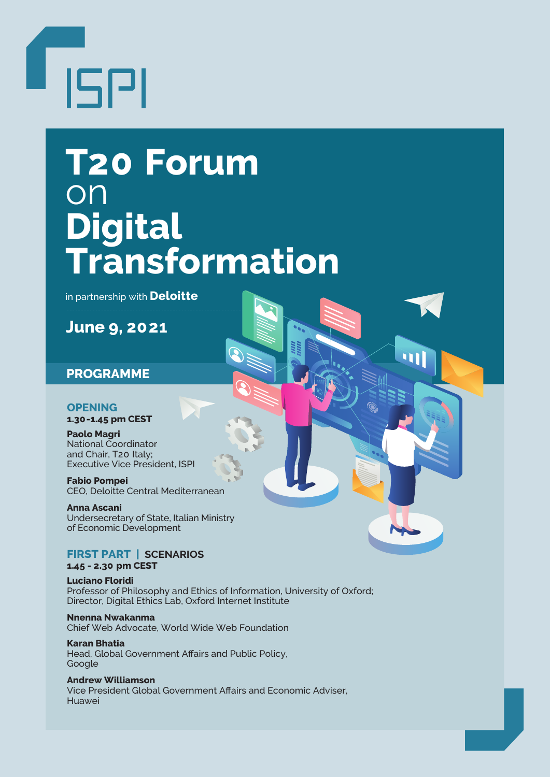

# **T20 Forum** on **Digital Transformation**

in partnership with **Deloitte**

**June 9, 2021**

# **PROGRAMME**

# **OPENING**

**1.30-1.45 pm CEST**

**Paolo Magri** National Coordinator and Chair, T20 Italy; Executive Vice President, ISPI

**Fabio Pompei** CEO, Deloitte Central Mediterranean

**Anna Ascani** Undersecretary of State, Italian Ministry of Economic Development

# **FIRST PART | SCENARIOS**

# **1.45 - 2.30 pm CEST**

**Luciano Floridi** Professor of Philosophy and Ethics of Information, University of Oxford; Director, Digital Ethics Lab, Oxford Internet Institute

**Nnenna Nwakanma** Chief Web Advocate, World Wide Web Foundation

**Karan Bhatia** Head, Global Government Affairs and Public Policy, Google

**Andrew Williamson** Vice President Global Government Affairs and Economic Adviser, Huawei